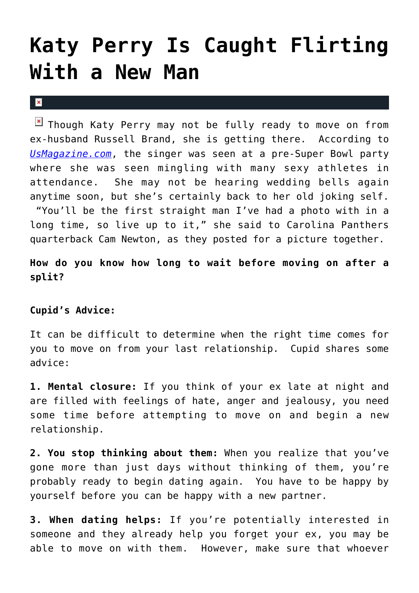## **[Katy Perry Is Caught Flirting](https://cupidspulse.com/26729/katy-perry-caught-flirting-new-man-cam-newton/) [With a New Man](https://cupidspulse.com/26729/katy-perry-caught-flirting-new-man-cam-newton/)**

## $\vert \mathbf{x} \vert$

 $\boxed{\times}$  Though Katy Perry may not be fully ready to move on from ex-husband Russell Brand, she is getting there. According to *[UsMagazine.com](http://www.usmagazine.com/celebrity-news/news/katy-perry-flirts-with-nfl-quarterback-cam-newton-at-pre-super-bowl-bash-201252)*, the singer was seen at a pre-Super Bowl party where she was seen mingling with many sexy athletes in attendance. She may not be hearing wedding bells again anytime soon, but she's certainly back to her old joking self. "You'll be the first straight man I've had a photo with in a long time, so live up to it," she said to Carolina Panthers quarterback Cam Newton, as they posted for a picture together.

**How do you know how long to wait before moving on after a split?**

## **Cupid's Advice:**

It can be difficult to determine when the right time comes for you to move on from your last relationship. Cupid shares some advice:

**1. Mental closure:** If you think of your ex late at night and are filled with feelings of hate, anger and jealousy, you need some time before attempting to move on and begin a new relationship.

**2. You stop thinking about them:** When you realize that you've gone more than just days without thinking of them, you're probably ready to begin dating again. You have to be happy by yourself before you can be happy with a new partner.

**3. When dating helps:** If you're potentially interested in someone and they already help you forget your ex, you may be able to move on with them. However, make sure that whoever